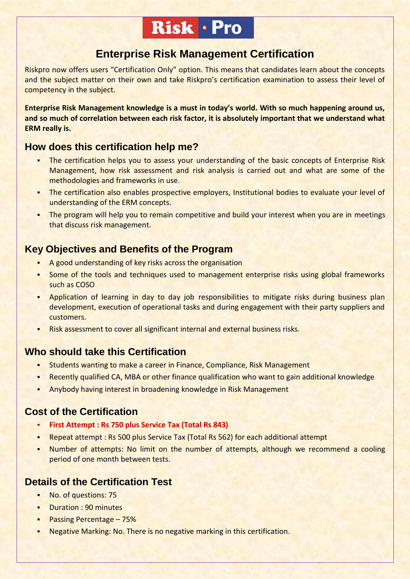# Risk · Pro

# **Enterprise Risk Management Certification**

Riskpro now offers users "Certification Only" option. This means that candidates learn about the concepts and the subject matter on their own and take Riskpro's certification examination to assess their level of competency in the subject.

**Enterprise Risk Management knowledge is a must in today's world. With so much happening around us, and so much of correlation between each risk factor, it is absolutely important that we understand what ERM really is.**

## **How does this certification help me?**

- The certification helps you to assess your understanding of the basic concepts of Enterprise Risk Management, how risk assessment and risk analysis is carried out and what are some of the methodologies and frameworks in use.
- The certification also enables prospective employers, Institutional bodies to evaluate your level of understanding of the ERM concepts.
- The program will help you to remain competitive and build your interest when you are in meetings that discuss risk management.

# **Key Objectives and Benefits of the Program**

- A good understanding of key risks across the organisation
- Some of the tools and techniques used to management enterprise risks using global frameworks such as COSO
- Application of learning in day to day job responsibilities to mitigate risks during business plan development, execution of operational tasks and during engagement with their party suppliers and customers.
- Risk assessment to cover all significant internal and external business risks.

## **Who should take this Certification**

- Students wanting to make a career in Finance, Compliance, Risk Management
- **EXECT ADDET FIRELY AND ALTA CAL ADDET** FINANCE GUALIFICATION who want to gain additional knowledge
- Anybody having interest in broadening knowledge in Risk Management

## **Cost of the Certification**

- **First Attempt : Rs 750 plus Service Tax (Total Rs 843)**
- Repeat attempt : Rs 500 plus Service Tax (Total Rs 562) for each additional attempt
- Number of attempts: No limit on the number of attempts, although we recommend a cooling period of one month between tests.

## **Details of the Certification Test**

- No. of questions: 75
- **Duration : 90 minutes**
- **Passing Percentage 75%**
- Negative Marking: No. There is no negative marking in this certification.